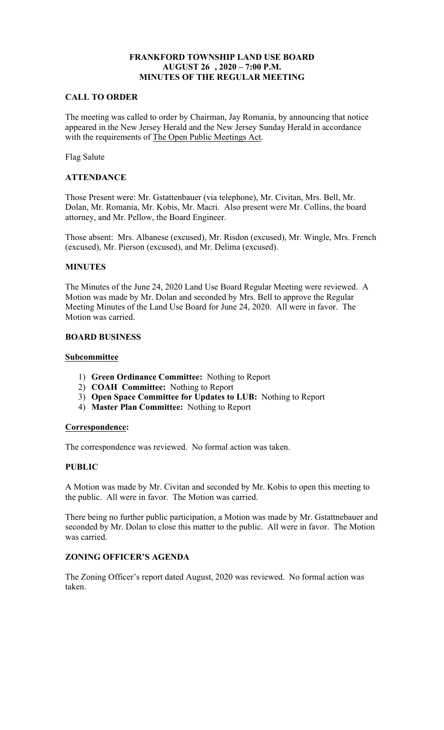# **AUGUST 26 , 2020 – 7:00 P.M. FRANKFORD TOWNSHIP LAND USE BOARD MINUTES OF THE REGULAR MEETING**

### **CALL TO ORDER**

with the requirements of The Open Public Meetings Act. The meeting was called to order by Chairman, Jay Romania, by announcing that notice appeared in the New Jersey Herald and the New Jersey Sunday Herald in accordance

Flag Salute

## **ATTENDANCE**

 Dolan, Mr. Romania, Mr. Kobis, Mr. Macri. Also present were Mr. Collins, the board Those Present were: Mr. Gstattenbauer (via telephone), Mr. Civitan, Mrs. Bell, Mr. attorney, and Mr. Pellow, the Board Engineer.

 Those absent: Mrs. Albanese (excused), Mr. Risdon (excused), Mr. Wingle, Mrs. French (excused), Mr. Pierson (excused), and Mr. Delima (excused).

## **MINUTES**

The Minutes of the June 24, 2020 Land Use Board Regular Meeting were reviewed. A Motion was made by Mr. Dolan and seconded by Mrs. Bell to approve the Regular Meeting Minutes of the Land Use Board for June 24, 2020. All were in favor. The Motion was carried.

### **BOARD BUSINESS**

### **Subcommittee**

- 1) **Green Ordinance Committee:** Nothing to Report
- 2) **COAH Committee:** Nothing to Report
- 3) **Open Space Committee for Updates to LUB:** Nothing to Report
- 4) **Master Plan Committee:** Nothing to Report

#### **Correspondence:**

The correspondence was reviewed. No formal action was taken.

## **PUBLIC**

A Motion was made by Mr. Civitan and seconded by Mr. Kobis to open this meeting to the public. All were in favor. The Motion was carried.

There being no further public participation, a Motion was made by Mr. Gstattnebauer and seconded by Mr. Dolan to close this matter to the public. All were in favor. The Motion was carried.

## **ZONING OFFICER'S AGENDA**

The Zoning Officer's report dated August, 2020 was reviewed. No formal action was taken.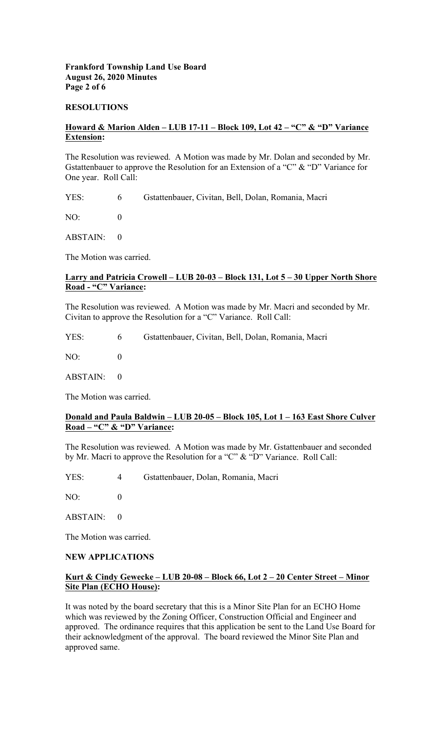## **Frankford Township Land Use Board August 26, 2020 Minutes Page 2 of 6**

#### **RESOLUTIONS**

## **Howard & Marion Alden – LUB 17-11 – Block 109, Lot 42 – "C" & "D" Variance Extension:**

 Gstattenbauer to approve the Resolution for an Extension of a "C" & "D" Variance for The Resolution was reviewed. A Motion was made by Mr. Dolan and seconded by Mr. One year. Roll Call:

YES: 6 Gstattenbauer, Civitan, Bell, Dolan, Romania, Macri

NO: 0

ABSTAIN: 0

The Motion was carried.

### **Larry and Patricia Crowell – LUB 20-03 – Block 131, Lot 5 – 30 Upper North Shore Road - "C" Variance:**

The Resolution was reviewed. A Motion was made by Mr. Macri and seconded by Mr. Civitan to approve the Resolution for a "C" Variance. Roll Call:

| YES: | 6 <sup>6</sup> | Gstattenbauer, Civitan, Bell, Dolan, Romania, Macri |
|------|----------------|-----------------------------------------------------|
| NO:  |                |                                                     |

ABSTAIN: 0

The Motion was carried.

### **Donald and Paula Baldwin – LUB 20-05 – Block 105, Lot 1 – 163 East Shore Culver Road – "C" & "D" Variance:**

The Resolution was reviewed. A Motion was made by Mr. Gstattenbauer and seconded by Mr. Macri to approve the Resolution for a "C" & "D" Variance. Roll Call:

YES: 4 Gstattenbauer, Dolan, Romania, Macri

NO: 0

ABSTAIN: 0

The Motion was carried.

#### **NEW APPLICATIONS**

## **Kurt & Cindy Gewecke – LUB 20-08 – Block 66, Lot 2 – 20 Center Street – Minor Site Plan (ECHO House):**

It was noted by the board secretary that this is a Minor Site Plan for an ECHO Home which was reviewed by the Zoning Officer, Construction Official and Engineer and approved. The ordinance requires that this application be sent to the Land Use Board for their acknowledgment of the approval. The board reviewed the Minor Site Plan and approved same.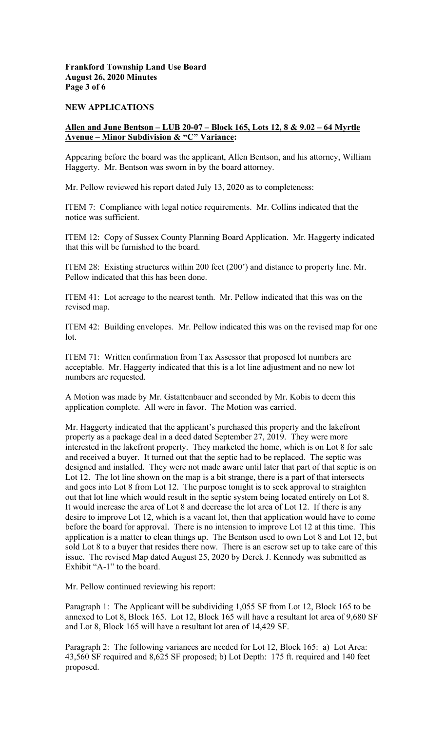# **Frankford Township Land Use Board August 26, 2020 Minutes Page 3 of 6**

### **NEW APPLICATIONS**

# **Allen and June Bentson – LUB 20-07 – Block 165, Lots 12, 8 & 9.02 – 64 Myrtle Avenue – Minor Subdivision & "C" Variance:**

Appearing before the board was the applicant, Allen Bentson, and his attorney, William Haggerty. Mr. Bentson was sworn in by the board attorney.

Mr. Pellow reviewed his report dated July 13, 2020 as to completeness:

ITEM 7: Compliance with legal notice requirements. Mr. Collins indicated that the notice was sufficient.

ITEM 12: Copy of Sussex County Planning Board Application. Mr. Haggerty indicated that this will be furnished to the board.

ITEM 28: Existing structures within 200 feet (200') and distance to property line. Mr. Pellow indicated that this has been done.

ITEM 41: Lot acreage to the nearest tenth. Mr. Pellow indicated that this was on the revised map.

 ITEM 42: Building envelopes. Mr. Pellow indicated this was on the revised map for one lot.

ITEM 71: Written confirmation from Tax Assessor that proposed lot numbers are acceptable. Mr. Haggerty indicated that this is a lot line adjustment and no new lot numbers are requested.

A Motion was made by Mr. Gstattenbauer and seconded by Mr. Kobis to deem this application complete. All were in favor. The Motion was carried.

 sold Lot 8 to a buyer that resides there now. There is an escrow set up to take care of this Mr. Haggerty indicated that the applicant's purchased this property and the lakefront property as a package deal in a deed dated September 27, 2019. They were more interested in the lakefront property. They marketed the home, which is on Lot 8 for sale and received a buyer. It turned out that the septic had to be replaced. The septic was designed and installed. They were not made aware until later that part of that septic is on Lot 12. The lot line shown on the map is a bit strange, there is a part of that intersects and goes into Lot 8 from Lot 12. The purpose tonight is to seek approval to straighten out that lot line which would result in the septic system being located entirely on Lot 8. It would increase the area of Lot 8 and decrease the lot area of Lot 12. If there is any desire to improve Lot 12, which is a vacant lot, then that application would have to come before the board for approval. There is no intension to improve Lot 12 at this time. This application is a matter to clean things up. The Bentson used to own Lot 8 and Lot 12, but issue. The revised Map dated August 25, 2020 by Derek J. Kennedy was submitted as Exhibit "A-1" to the board.

Mr. Pellow continued reviewing his report:

Paragraph 1: The Applicant will be subdividing 1,055 SF from Lot 12, Block 165 to be annexed to Lot 8, Block 165. Lot 12, Block 165 will have a resultant lot area of 9,680 SF and Lot 8, Block 165 will have a resultant lot area of 14,429 SF.

Paragraph 2: The following variances are needed for Lot 12, Block 165: a) Lot Area: 43,560 SF required and 8,625 SF proposed; b) Lot Depth: 175 ft. required and 140 feet proposed.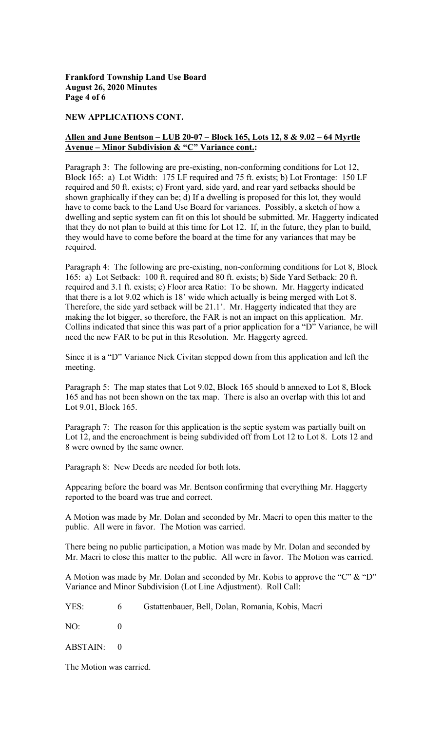**Frankford Township Land Use Board August 26, 2020 Minutes Page 4 of 6** 

#### **NEW APPLICATIONS CONT.**

### **Allen and June Bentson – LUB 20-07 – Block 165, Lots 12, 8 & 9.02 – 64 Myrtle Avenue – Minor Subdivision & "C" Variance cont.:**

Paragraph 3: The following are pre-existing, non-conforming conditions for Lot 12, Block 165: a) Lot Width: 175 LF required and 75 ft. exists; b) Lot Frontage: 150 LF required and 50 ft. exists; c) Front yard, side yard, and rear yard setbacks should be shown graphically if they can be; d) If a dwelling is proposed for this lot, they would have to come back to the Land Use Board for variances. Possibly, a sketch of how a dwelling and septic system can fit on this lot should be submitted. Mr. Haggerty indicated that they do not plan to build at this time for Lot 12. If, in the future, they plan to build, they would have to come before the board at the time for any variances that may be required.

Paragraph 4: The following are pre-existing, non-conforming conditions for Lot 8, Block 165: a) Lot Setback: 100 ft. required and 80 ft. exists; b) Side Yard Setback: 20 ft. required and 3.1 ft. exists; c) Floor area Ratio: To be shown. Mr. Haggerty indicated that there is a lot 9.02 which is 18' wide which actually is being merged with Lot 8. Therefore, the side yard setback will be 21.1'. Mr. Haggerty indicated that they are making the lot bigger, so therefore, the FAR is not an impact on this application. Mr. Collins indicated that since this was part of a prior application for a "D" Variance, he will need the new FAR to be put in this Resolution. Mr. Haggerty agreed.

Since it is a "D" Variance Nick Civitan stepped down from this application and left the meeting.

Paragraph 5: The map states that Lot 9.02, Block 165 should b annexed to Lot 8, Block 165 and has not been shown on the tax map. There is also an overlap with this lot and Lot 9.01, Block 165.

Paragraph 7: The reason for this application is the septic system was partially built on Lot 12, and the encroachment is being subdivided off from Lot 12 to Lot 8. Lots 12 and 8 were owned by the same owner.

Paragraph 8: New Deeds are needed for both lots.

Appearing before the board was Mr. Bentson confirming that everything Mr. Haggerty reported to the board was true and correct.

A Motion was made by Mr. Dolan and seconded by Mr. Macri to open this matter to the public. All were in favor. The Motion was carried.

There being no public participation, a Motion was made by Mr. Dolan and seconded by Mr. Macri to close this matter to the public. All were in favor. The Motion was carried.

A Motion was made by Mr. Dolan and seconded by Mr. Kobis to approve the "C" & "D" Variance and Minor Subdivision (Lot Line Adjustment). Roll Call:

YES: 6 Gstattenbauer, Bell, Dolan, Romania, Kobis, Macri

NO: 0

ABSTAIN: 0

The Motion was carried.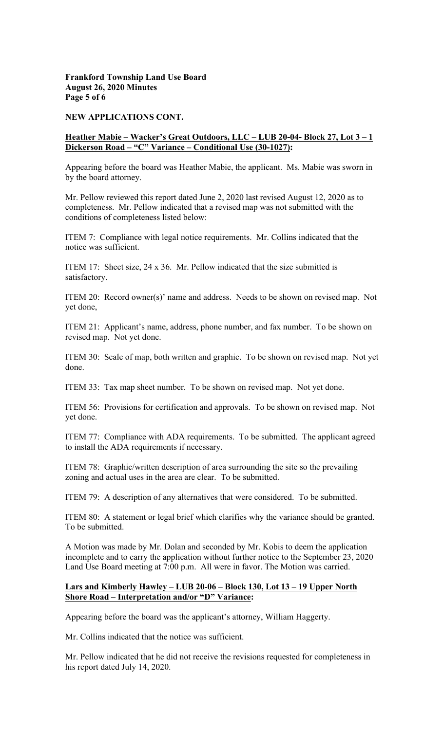### **Frankford Township Land Use Board August 26, 2020 Minutes Page 5 of 6**

#### **NEW APPLICATIONS CONT.**

### **Heather Mabie – Wacker's Great Outdoors, LLC – LUB 20-04- Block 27, Lot 3 – 1 Dickerson Road – "C" Variance – Conditional Use (30-1027):**

Appearing before the board was Heather Mabie, the applicant. Ms. Mabie was sworn in by the board attorney.

Mr. Pellow reviewed this report dated June 2, 2020 last revised August 12, 2020 as to completeness. Mr. Pellow indicated that a revised map was not submitted with the conditions of completeness listed below:

ITEM 7: Compliance with legal notice requirements. Mr. Collins indicated that the notice was sufficient.

ITEM 17: Sheet size, 24 x 36. Mr. Pellow indicated that the size submitted is satisfactory.

ITEM 20: Record owner(s)' name and address. Needs to be shown on revised map. Not yet done,

ITEM 21: Applicant's name, address, phone number, and fax number. To be shown on revised map. Not yet done.

ITEM 30: Scale of map, both written and graphic. To be shown on revised map. Not yet done.

ITEM 33: Tax map sheet number. To be shown on revised map. Not yet done.

ITEM 56: Provisions for certification and approvals. To be shown on revised map. Not yet done.

ITEM 77: Compliance with ADA requirements. To be submitted. The applicant agreed to install the ADA requirements if necessary.

ITEM 78: Graphic/written description of area surrounding the site so the prevailing zoning and actual uses in the area are clear. To be submitted.

ITEM 79: A description of any alternatives that were considered. To be submitted.

ITEM 80: A statement or legal brief which clarifies why the variance should be granted. To be submitted.

A Motion was made by Mr. Dolan and seconded by Mr. Kobis to deem the application incomplete and to carry the application without further notice to the September 23, 2020 Land Use Board meeting at 7:00 p.m. All were in favor. The Motion was carried.

### **Shore Road – Interpretation and/or "D" Variance: Lars and Kimberly Hawley – LUB 20-06 – Block 130, Lot 13 – 19 Upper North**

Appearing before the board was the applicant's attorney, William Haggerty.

Mr. Collins indicated that the notice was sufficient.

Mr. Pellow indicated that he did not receive the revisions requested for completeness in his report dated July 14, 2020.